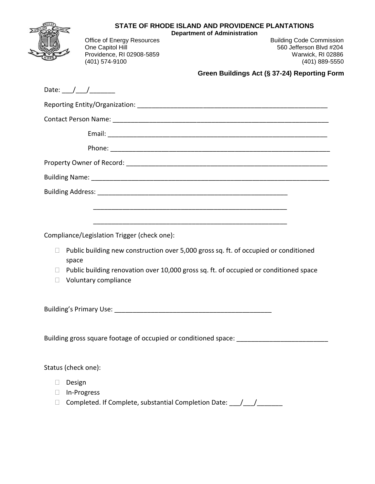|        | STATE OF RHODE ISLAND AND PROVIDENCE PLANTATIONS<br><b>Department of Administration</b>                      |  |  |  |  |  |  |
|--------|--------------------------------------------------------------------------------------------------------------|--|--|--|--|--|--|
|        | Office of Energy Resources<br><b>Building Code Commission</b><br>One Capitol Hill<br>560 Jefferson Blvd #204 |  |  |  |  |  |  |
|        | Providence, RI 02908-5859<br>Warwick, RI 02886                                                               |  |  |  |  |  |  |
|        | (401) 574-9100<br>(401) 889-5550                                                                             |  |  |  |  |  |  |
|        | Green Buildings Act (§ 37-24) Reporting Form                                                                 |  |  |  |  |  |  |
|        | Date: $\frac{\sqrt{2}}{2}$                                                                                   |  |  |  |  |  |  |
|        |                                                                                                              |  |  |  |  |  |  |
|        |                                                                                                              |  |  |  |  |  |  |
|        |                                                                                                              |  |  |  |  |  |  |
|        |                                                                                                              |  |  |  |  |  |  |
|        |                                                                                                              |  |  |  |  |  |  |
|        |                                                                                                              |  |  |  |  |  |  |
|        |                                                                                                              |  |  |  |  |  |  |
|        |                                                                                                              |  |  |  |  |  |  |
|        |                                                                                                              |  |  |  |  |  |  |
|        | Compliance/Legislation Trigger (check one):                                                                  |  |  |  |  |  |  |
| П      | Public building new construction over 5,000 gross sq. ft. of occupied or conditioned<br>space                |  |  |  |  |  |  |
| $\Box$ | Public building renovation over 10,000 gross sq. ft. of occupied or conditioned space                        |  |  |  |  |  |  |
|        | Voluntary compliance                                                                                         |  |  |  |  |  |  |
|        |                                                                                                              |  |  |  |  |  |  |
|        | Building gross square footage of occupied or conditioned space: ___________________________________          |  |  |  |  |  |  |

## Status (check one):

- Design
- In-Progress
- □ Completed. If Complete, substantial Completion Date: \_\_\_/\_\_\_/\_\_\_\_\_\_\_\_\_\_\_\_\_\_\_\_